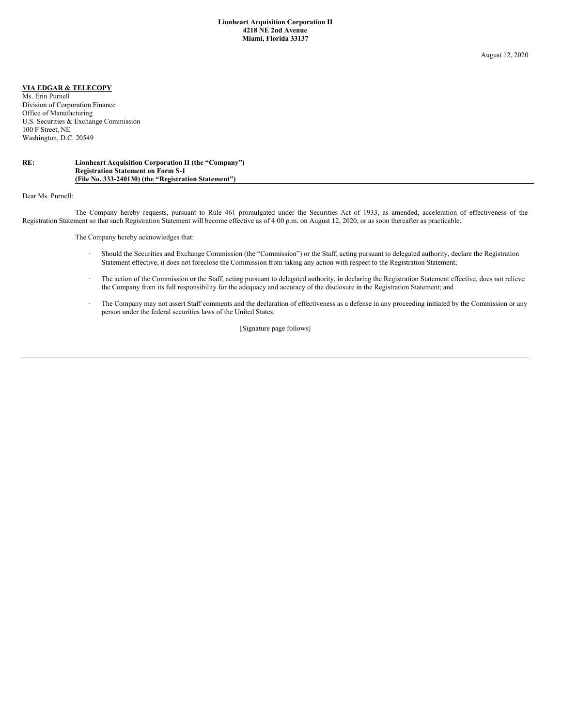## **VIA EDGAR & TELECOPY**

Ms. Erin Purnell Division of Corporation Finance Office of Manufacturing U.S. Securities & Exchange Commission 100 F Street, NE Washington, D.C. 20549

## **RE: Lionheart Acquisition Corporation II (the "Company") Registration Statement on Form S-1 (File No. 333-240130) (the "Registration Statement")**

Dear Ms. Purnell:

The Company hereby requests, pursuant to Rule 461 promulgated under the Securities Act of 1933, as amended, acceleration of effectiveness of the Registration Statement so that such Registration Statement will become effective as of 4:00 p.m. on August 12, 2020, or as soon thereafter as practicable.

The Company hereby acknowledges that:

- · Should the Securities and Exchange Commission (the "Commission") or the Staff, acting pursuant to delegated authority, declare the Registration Statement effective, it does not foreclose the Commission from taking any action with respect to the Registration Statement;
- The action of the Commission or the Staff, acting pursuant to delegated authority, in declaring the Registration Statement effective, does not relieve the Company from its full responsibility for the adequacy and accuracy of the disclosure in the Registration Statement; and
- · The Company may not assert Staff comments and the declaration of effectiveness as a defense in any proceeding initiated by the Commission or any person under the federal securities laws of the United States.

[Signature page follows]